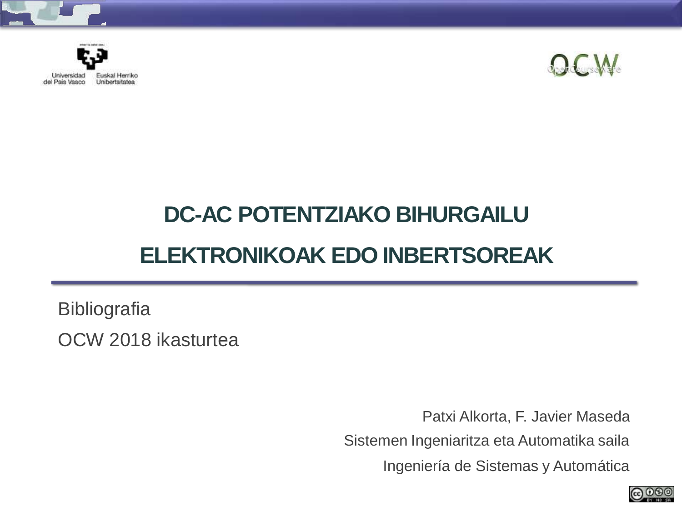





## **DC-AC POTENTZIAKO BIHURGAILU ELEKTRONIKOAK EDO INBERTSOREAK**

**Bibliografia** OCW 2018 ikasturtea

> Patxi Alkorta, F. Javier Maseda Sistemen Ingeniaritza eta Automatika saila Ingeniería de Sistemas y Automática

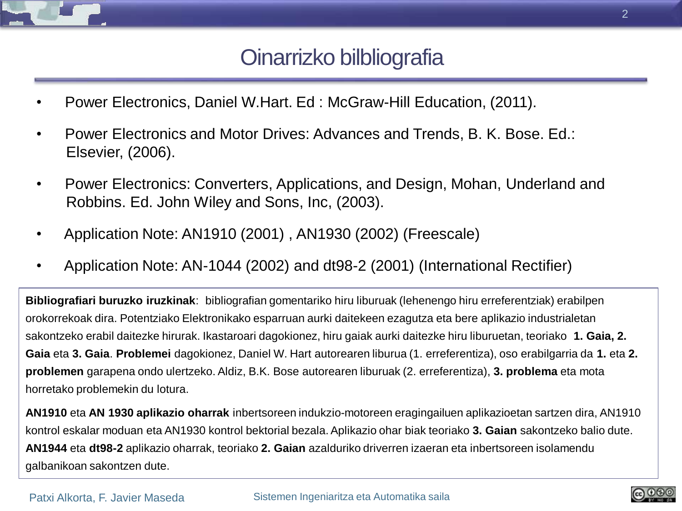

## Oinarrizko bilbliografia

- Power Electronics, Daniel W.Hart. Ed : McGraw-Hill Education, (2011).
- Power Electronics and Motor Drives: Advances and Trends, B. K. Bose. Ed.: Elsevier, (2006).
- Power Electronics: Converters, Applications, and Design, Mohan, Underland and Robbins. Ed. John Wiley and Sons, Inc, (2003).
- Application Note: AN1910 (2001) , AN1930 (2002) (Freescale)
- Application Note: AN-1044 (2002) and dt98-2 (2001) (International Rectifier)

**Bibliografiari buruzko iruzkinak**: bibliografian gomentariko hiru liburuak (lehenengo hiru erreferentziak) erabilpen orokorrekoak dira. Potentziako Elektronikako esparruan aurki daitekeen ezagutza eta bere aplikazio industrialetan sakontzeko erabil daitezke hirurak. Ikastaroari dagokionez, hiru gaiak aurki daitezke hiru liburuetan, teoriako **1. Gaia, 2. Gaia** eta **3. Gaia**. **Problemei** dagokionez, Daniel W. Hart autorearen liburua (1. erreferentiza), oso erabilgarria da **1.** eta **2. problemen** garapena ondo ulertzeko. Aldiz, B.K. Bose autorearen liburuak (2. erreferentiza), **3. problema** eta mota horretako problemekin du lotura.

**AN1910** eta **AN 1930 aplikazio oharrak** inbertsoreen indukzio-motoreen eragingailuen aplikazioetan sartzen dira, AN1910 kontrol eskalar moduan eta AN1930 kontrol bektorial bezala. Aplikazio ohar biak teoriako **3. Gaian** sakontzeko balio dute. **AN1944** eta **dt98-2** aplikazio oharrak, teoriako **2. Gaian** azalduriko driverren izaeran eta inbertsoreen isolamendu galbanikoan sakontzen dute.

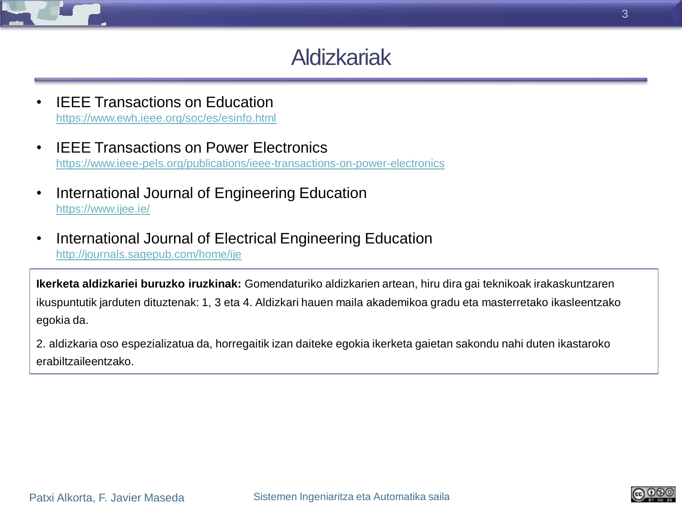

## Aldizkariak

- **IEEE Transactions on Education** <https://www.ewh.ieee.org/soc/es/esinfo.html>
- IEEE Transactions on Power Electronics <https://www.ieee-pels.org/publications/ieee-transactions-on-power-electronics>
- International Journal of Engineering Education <https://www.ijee.ie/>
- International Journal of Electrical Engineering Education <http://journals.sagepub.com/home/ije>

**Ikerketa aldizkariei buruzko iruzkinak:** Gomendaturiko aldizkarien artean, hiru dira gai teknikoak irakaskuntzaren ikuspuntutik jarduten dituztenak: 1, 3 eta 4. Aldizkari hauen maila akademikoa gradu eta masterretako ikasleentzako egokia da.

2. aldizkaria oso espezializatua da, horregaitik izan daiteke egokia ikerketa gaietan sakondu nahi duten ikastaroko erabiltzaileentzako.